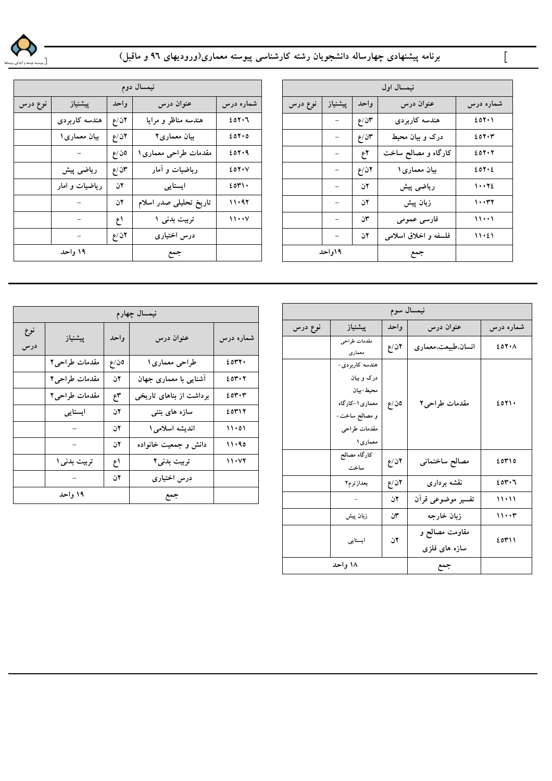

## برنامه پیشنهادی چهارساله دانشجویان رشته کارشناسی پیوسته معماری(ورودیهای ۹۲ و ماقبل)

|         | نیمسال دوم               |       |                        |               |  |
|---------|--------------------------|-------|------------------------|---------------|--|
| نوع درس | پیشنیاز                  | واحد  | عنوان درس              | شماره درس     |  |
|         | هندسه كاربردي            | ۲ن/ع  | هندسه مناظر و مرایا    | 201.7         |  |
|         | بیان معماری ۱            | ۲ن/ع  | بیان معماری۲           | 20700         |  |
|         |                          | ەن ⁄ع | مقدمات طراحی معماری ۱  | 207.9         |  |
|         | رياضى پيش                | ۳ن ⁄ع | ریاضیات و آمار         | $20Y \cdot V$ |  |
|         | ریاضیات و امار           | ٢ن    | ایستایی                | 2071.         |  |
|         |                          | ٢ن    | تاریخ تحلیلی صدر اسلام | 11.97         |  |
|         | $\overline{\phantom{a}}$ | اع    | تربیت بدنی ۱           | $\cdots$      |  |
|         | ÷.                       | ۲ن ⁄ع | درس اختیاری            |               |  |
|         | ۱۹ واحد                  |       | جمع                    |               |  |

|         | نیمسال اول               |      |                      |           |  |
|---------|--------------------------|------|----------------------|-----------|--|
| نوع درس | ييشنياز                  | واحد | عنوان درس            | شماره درس |  |
|         | -                        | ۲ن/ع | هندسه كاربردى        | 201.1     |  |
|         | -                        | ۲ن⁄ع | درک و بیان محیط      | 207.7     |  |
|         |                          | ٢ع   | کارگاه و مصالح ساخت  | 207.7     |  |
|         |                          | ۲ن/ع | بیان معماری ۱        | 204.2     |  |
|         | -                        | ٢ن   | رياضى پيش            | ١٠٠٢٤     |  |
|         |                          | ٢ن   | زبان پیش             | 10021     |  |
|         |                          | ٣ن   | فارسي عمومي          | ۱۱۰۰۱     |  |
|         | $\overline{\phantom{0}}$ | ٢ن   | فلسفه و اخلاق اسلامی | 11.21     |  |
|         | ۱۹واحد                   |      | جمع                  |           |  |

|            | نيمسال چهارم                |                               |                         |           |  |
|------------|-----------------------------|-------------------------------|-------------------------|-----------|--|
| نوع<br>درس | پیشنیاز                     | واحد                          | عنوان درس               | شماره درس |  |
|            | مقدمات طراحی۲               | ەن/ع                          | طراحي معماري ١          | 2047.     |  |
|            | مقدمات طراحي٢               | ٢ن                            | آشنایی با معماری جهان   | 204.7     |  |
|            | مقدمات طراحي٢               | $\mathfrak{k}^{\mathfrak{r}}$ | برداشت از بناهای تاریخی | 204.4     |  |
|            | ایستایی                     | ٢ن                            | سازه های بتنی           | 20717     |  |
|            |                             | ٦ن                            | اندیشه اسلامی ۱         | 11.01     |  |
|            |                             | ٢ن                            | دانش و جمعیت خانواده    | 11.90     |  |
|            | تربيت بدني ۱                | اع                            | تربیت بدنی۲             | 11.47     |  |
|            | $\alpha \rightarrow \alpha$ | ٦ن                            | درس اختیاری             |           |  |
| ۱۹ واحد    |                             |                               | جمع                     |           |  |

|         | نيمسال سوم                                                                                                 |      |                                 |           |
|---------|------------------------------------------------------------------------------------------------------------|------|---------------------------------|-----------|
| نوع درس | پیشنیاز                                                                                                    | واحد | عنوان درس                       | شماره درس |
|         | مقدمات طراحي<br>معماري                                                                                     | ۲ن/ع | انسان.طبیعت،معماری              | EON A     |
|         | هندسه کاربردی-<br>درک و بیان<br>محيط –بيان<br>معماري ١-كارگاه<br>و مصالح ساخت–<br>مقدمات طراحى<br>معماری ۱ | ەن/ع | مقدمات طراحی۲                   | 2071.     |
|         | كارگاه مصالح<br>ساخت                                                                                       | ۲ن/ع | مصالح ساختماني                  | ۶۵۳۱٥     |
|         | بعدازترم۲                                                                                                  | ۲ن/ع | نقشه بردارى                     | 204.7     |
|         | $\sim$                                                                                                     | ٢ن   | تفسير موضوعى قرآن               | $11 - 11$ |
|         | زبان پیش                                                                                                   | ٣ن   | زبان خارجه                      | ۱۱۰۰۳     |
|         | ايستايى                                                                                                    | ٢ن   | مقاومت مصالح و<br>سازه های فلزی | ۶۵۳۱۱     |
|         | ۱۸ واحد                                                                                                    |      | جمع                             |           |